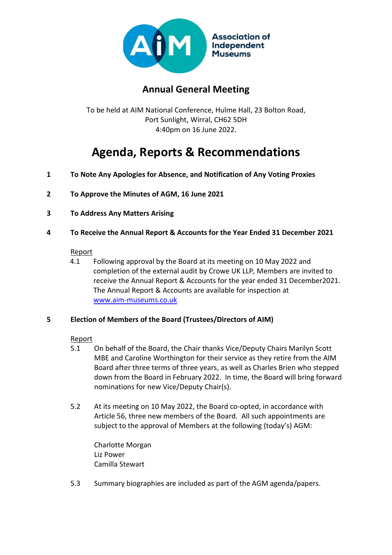

## **Annual General Meeting**

To be held at AIM National Conference, Hulme Hall, 23 Bolton Road, Port Sunlight, Wirral, CH62 5DH 4:40pm on 16 June 2022.

# **Agenda, Reports & Recommendations**

- **1 To Note Any Apologies for Absence, and Notification of Any Voting Proxies**
- **2 To Approve the Minutes of AGM, 16 June 2021**
- **3 To Address Any Matters Arising**
- **4 To Receive the Annual Report & Accounts for the Year Ended 31 December 2021**

#### **Report**

4.1 Following approval by the Board at its meeting on 10 May 2022 and completion of the external audit by Crowe UK LLP, Members are invited to receive the Annual Report & Accounts for the year ended 31 December2021. The Annual Report & Accounts are available for inspection at [www.aim-museums.co.uk](http://www.aim-museums.co.uk/)

#### **5 Election of Members of the Board (Trustees/Directors of AIM)**

#### Report

- 5.1 On behalf of the Board, the Chair thanks Vice/Deputy Chairs Marilyn Scott MBE and Caroline Worthington for their service as they retire from the AIM Board after three terms of three years, as well as Charles Brien who stepped down from the Board in February 2022. In time, the Board will bring forward nominations for new Vice/Deputy Chair(s).
- 5.2 At its meeting on 10 May 2022, the Board co-opted, in accordance with Article 56, three new members of the Board. All such appointments are subject to the approval of Members at the following (today's) AGM:

Charlotte Morgan Liz Power Camilla Stewart

5.3 Summary biographies are included as part of the AGM agenda/papers.